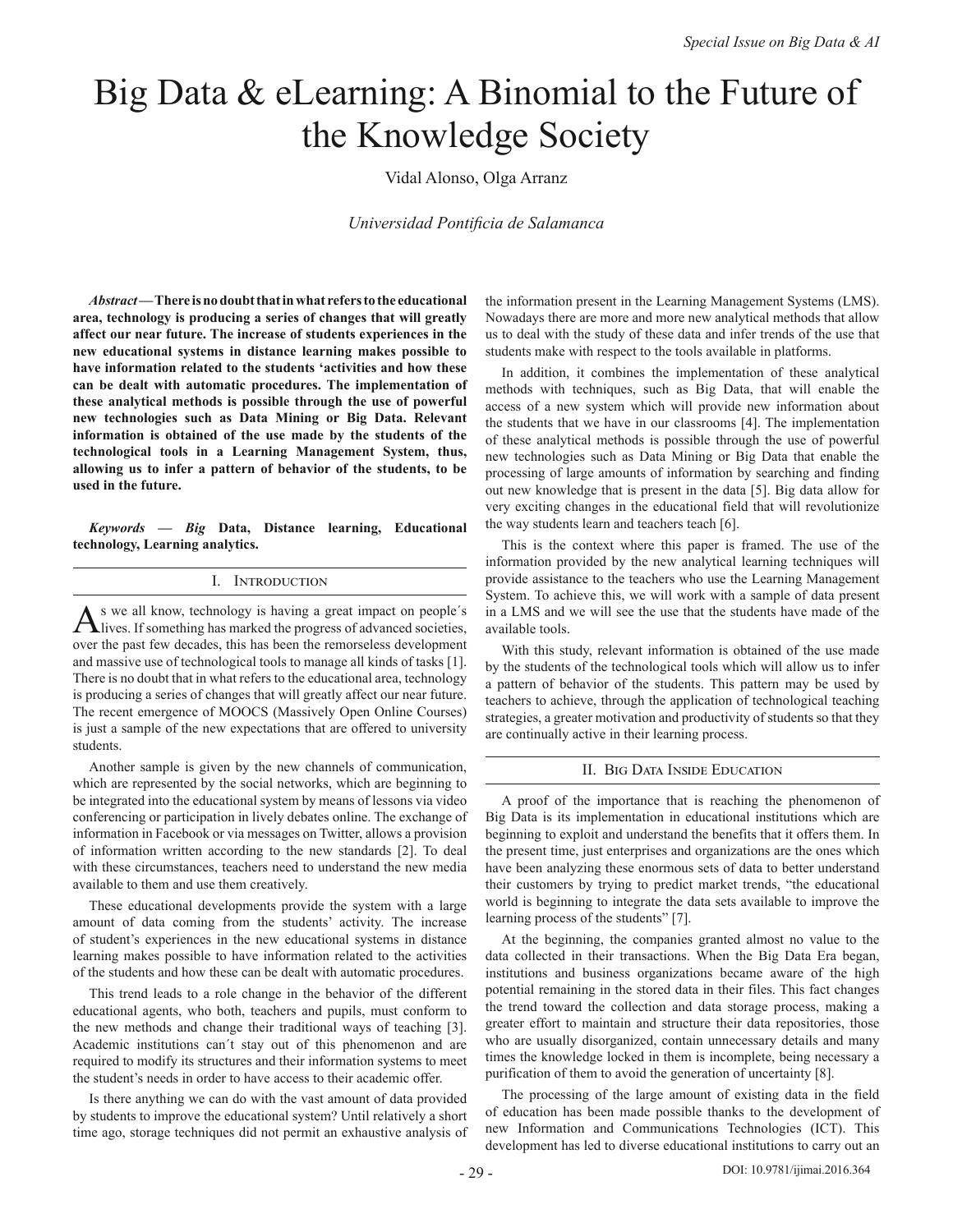# Big Data & eLearning: A Binomial to the Future of the Knowledge Society

Vidal Alonso, Olga Arranz

*Universidad Pontificia de Salamanca*

*Abstract* **— There is no doubt that in what refers to the educational area, technology is producing a series of changes that will greatly affect our near future. The increase of students experiences in the new educational systems in distance learning makes possible to have information related to the students 'activities and how these can be dealt with automatic procedures. The implementation of these analytical methods is possible through the use of powerful new technologies such as Data Mining or Big Data. Relevant information is obtained of the use made by the students of the technological tools in a Learning Management System, thus, allowing us to infer a pattern of behavior of the students, to be used in the future.**

*Keywords — Big* **Data, Distance learning, Educational technology, Learning analytics.** 

#### I. Introduction

 $A$  ives. If something has marked the progress of advanced societies, over the past few decades, this has been the remorseless development and massive use of technological tools to manage all kinds of tasks [1]. There is no doubt that in what refers to the educational area, technology is producing a series of changes that will greatly affect our near future. The recent emergence of MOOCS (Massively Open Online Courses) is just a sample of the new expectations that are offered to university students.

Another sample is given by the new channels of communication, which are represented by the social networks, which are beginning to be integrated into the educational system by means of lessons via video conferencing or participation in lively debates online. The exchange of information in Facebook or via messages on Twitter, allows a provision of information written according to the new standards [2]. To deal with these circumstances, teachers need to understand the new media available to them and use them creatively.

These educational developments provide the system with a large amount of data coming from the students' activity. The increase of student's experiences in the new educational systems in distance learning makes possible to have information related to the activities of the students and how these can be dealt with automatic procedures.

This trend leads to a role change in the behavior of the different educational agents, who both, teachers and pupils, must conform to the new methods and change their traditional ways of teaching [3]. Academic institutions can´t stay out of this phenomenon and are required to modify its structures and their information systems to meet the student's needs in order to have access to their academic offer.

Is there anything we can do with the vast amount of data provided by students to improve the educational system? Until relatively a short time ago, storage techniques did not permit an exhaustive analysis of the information present in the Learning Management Systems (LMS). Nowadays there are more and more new analytical methods that allow us to deal with the study of these data and infer trends of the use that students make with respect to the tools available in platforms.

In addition, it combines the implementation of these analytical methods with techniques, such as Big Data, that will enable the access of a new system which will provide new information about the students that we have in our classrooms [4]. The implementation of these analytical methods is possible through the use of powerful new technologies such as Data Mining or Big Data that enable the processing of large amounts of information by searching and finding out new knowledge that is present in the data [5]. Big data allow for very exciting changes in the educational field that will revolutionize the way students learn and teachers teach [6].

This is the context where this paper is framed. The use of the information provided by the new analytical learning techniques will provide assistance to the teachers who use the Learning Management System. To achieve this, we will work with a sample of data present in a LMS and we will see the use that the students have made of the available tools.

With this study, relevant information is obtained of the use made by the students of the technological tools which will allow us to infer a pattern of behavior of the students. This pattern may be used by teachers to achieve, through the application of technological teaching strategies, a greater motivation and productivity of students so that they are continually active in their learning process.

### II. Big Data Inside Education

A proof of the importance that is reaching the phenomenon of Big Data is its implementation in educational institutions which are beginning to exploit and understand the benefits that it offers them. In the present time, just enterprises and organizations are the ones which have been analyzing these enormous sets of data to better understand their customers by trying to predict market trends, "the educational world is beginning to integrate the data sets available to improve the learning process of the students" [7].

At the beginning, the companies granted almost no value to the data collected in their transactions. When the Big Data Era began, institutions and business organizations became aware of the high potential remaining in the stored data in their files. This fact changes the trend toward the collection and data storage process, making a greater effort to maintain and structure their data repositories, those who are usually disorganized, contain unnecessary details and many times the knowledge locked in them is incomplete, being necessary a purification of them to avoid the generation of uncertainty [8].

The processing of the large amount of existing data in the field of education has been made possible thanks to the development of new Information and Communications Technologies (ICT). This development has led to diverse educational institutions to carry out an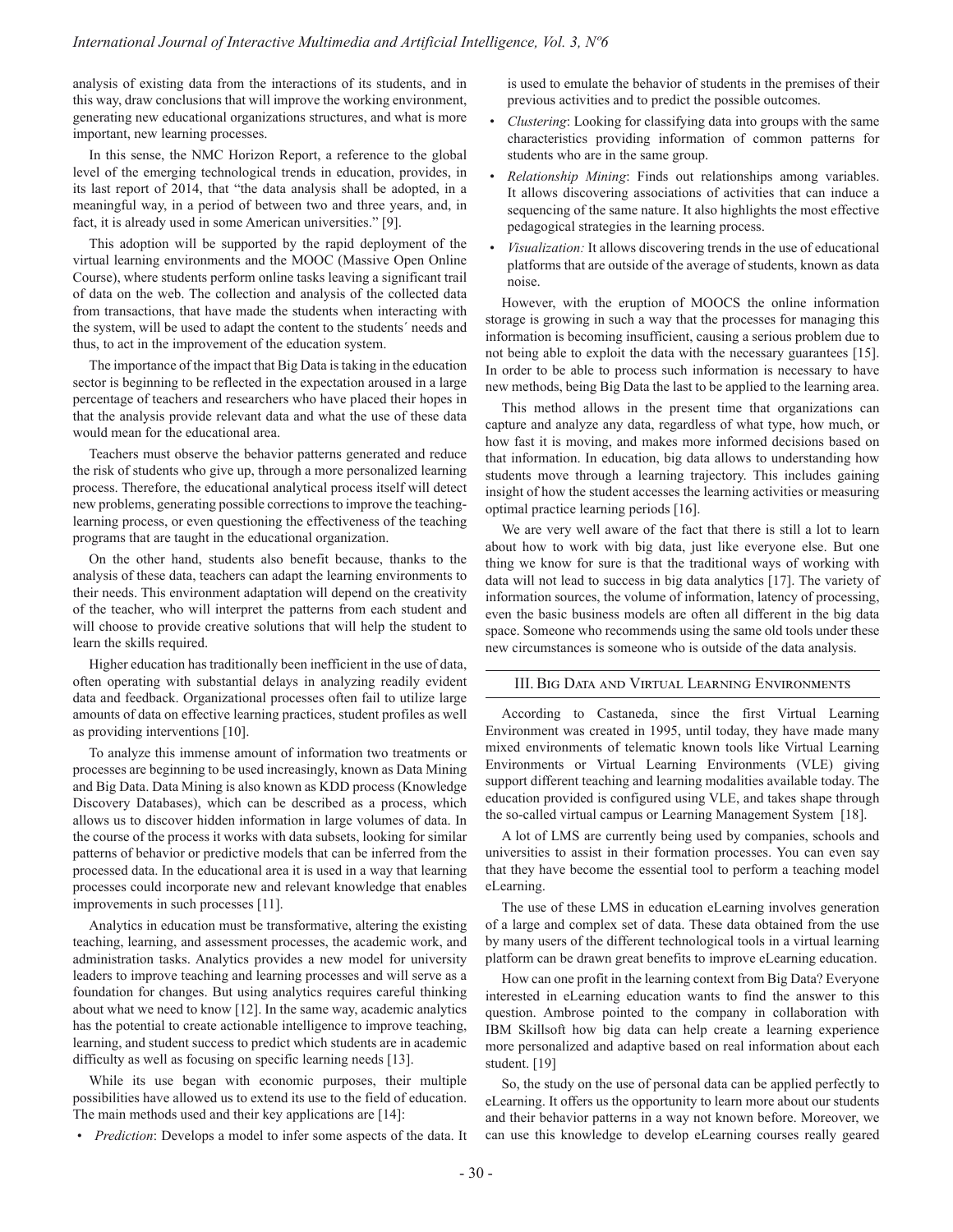analysis of existing data from the interactions of its students, and in this way, draw conclusions that will improve the working environment, generating new educational organizations structures, and what is more important, new learning processes.

In this sense, the NMC Horizon Report, a reference to the global level of the emerging technological trends in education, provides, in its last report of 2014, that "the data analysis shall be adopted, in a meaningful way, in a period of between two and three years, and, in fact, it is already used in some American universities." [9].

This adoption will be supported by the rapid deployment of the virtual learning environments and the MOOC (Massive Open Online Course), where students perform online tasks leaving a significant trail of data on the web. The collection and analysis of the collected data from transactions, that have made the students when interacting with the system, will be used to adapt the content to the students´ needs and thus, to act in the improvement of the education system.

The importance of the impact that Big Data is taking in the education sector is beginning to be reflected in the expectation aroused in a large percentage of teachers and researchers who have placed their hopes in that the analysis provide relevant data and what the use of these data would mean for the educational area.

Teachers must observe the behavior patterns generated and reduce the risk of students who give up, through a more personalized learning process. Therefore, the educational analytical process itself will detect new problems, generating possible corrections to improve the teachinglearning process, or even questioning the effectiveness of the teaching programs that are taught in the educational organization.

On the other hand, students also benefit because, thanks to the analysis of these data, teachers can adapt the learning environments to their needs. This environment adaptation will depend on the creativity of the teacher, who will interpret the patterns from each student and will choose to provide creative solutions that will help the student to learn the skills required.

Higher education has traditionally been inefficient in the use of data, often operating with substantial delays in analyzing readily evident data and feedback. Organizational processes often fail to utilize large amounts of data on effective learning practices, student profiles as well as providing interventions [10].

To analyze this immense amount of information two treatments or processes are beginning to be used increasingly, known as Data Mining and Big Data. Data Mining is also known as KDD process (Knowledge Discovery Databases), which can be described as a process, which allows us to discover hidden information in large volumes of data. In the course of the process it works with data subsets, looking for similar patterns of behavior or predictive models that can be inferred from the processed data. In the educational area it is used in a way that learning processes could incorporate new and relevant knowledge that enables improvements in such processes [11].

Analytics in education must be transformative, altering the existing teaching, learning, and assessment processes, the academic work, and administration tasks. Analytics provides a new model for university leaders to improve teaching and learning processes and will serve as a foundation for changes. But using analytics requires careful thinking about what we need to know [12]. In the same way, academic analytics has the potential to create actionable intelligence to improve teaching, learning, and student success to predict which students are in academic difficulty as well as focusing on specific learning needs [13].

While its use began with economic purposes, their multiple possibilities have allowed us to extend its use to the field of education. The main methods used and their key applications are [14]:

• *Prediction*: Develops a model to infer some aspects of the data. It

is used to emulate the behavior of students in the premises of their previous activities and to predict the possible outcomes.

- *Clustering*: Looking for classifying data into groups with the same characteristics providing information of common patterns for students who are in the same group.
- *Relationship Mining*: Finds out relationships among variables. It allows discovering associations of activities that can induce a sequencing of the same nature. It also highlights the most effective pedagogical strategies in the learning process.
- *Visualization:* It allows discovering trends in the use of educational platforms that are outside of the average of students, known as data noise.

However, with the eruption of MOOCS the online information storage is growing in such a way that the processes for managing this information is becoming insufficient, causing a serious problem due to not being able to exploit the data with the necessary guarantees [15]. In order to be able to process such information is necessary to have new methods, being Big Data the last to be applied to the learning area.

This method allows in the present time that organizations can capture and analyze any data, regardless of what type, how much, or how fast it is moving, and makes more informed decisions based on that information. In education, big data allows to understanding how students move through a learning trajectory. This includes gaining insight of how the student accesses the learning activities or measuring optimal practice learning periods [16].

We are very well aware of the fact that there is still a lot to learn about how to work with big data, just like everyone else. But one thing we know for sure is that the traditional ways of working with data will not lead to success in big data analytics [17]. The variety of information sources, the volume of information, latency of processing, even the basic business models are often all different in the big data space. Someone who recommends using the same old tools under these new circumstances is someone who is outside of the data analysis.

#### III. Big Data and Virtual Learning Environments

According to Castaneda, since the first Virtual Learning Environment was created in 1995, until today, they have made many mixed environments of telematic known tools like Virtual Learning Environments or Virtual Learning Environments (VLE) giving support different teaching and learning modalities available today. The education provided is configured using VLE, and takes shape through the so-called virtual campus or Learning Management System [18].

A lot of LMS are currently being used by companies, schools and universities to assist in their formation processes. You can even say that they have become the essential tool to perform a teaching model eLearning.

The use of these LMS in education eLearning involves generation of a large and complex set of data. These data obtained from the use by many users of the different technological tools in a virtual learning platform can be drawn great benefits to improve eLearning education.

How can one profit in the learning context from Big Data? Everyone interested in eLearning education wants to find the answer to this question. Ambrose pointed to the company in collaboration with IBM Skillsoft how big data can help create a learning experience more personalized and adaptive based on real information about each student. [19]

So, the study on the use of personal data can be applied perfectly to eLearning. It offers us the opportunity to learn more about our students and their behavior patterns in a way not known before. Moreover, we can use this knowledge to develop eLearning courses really geared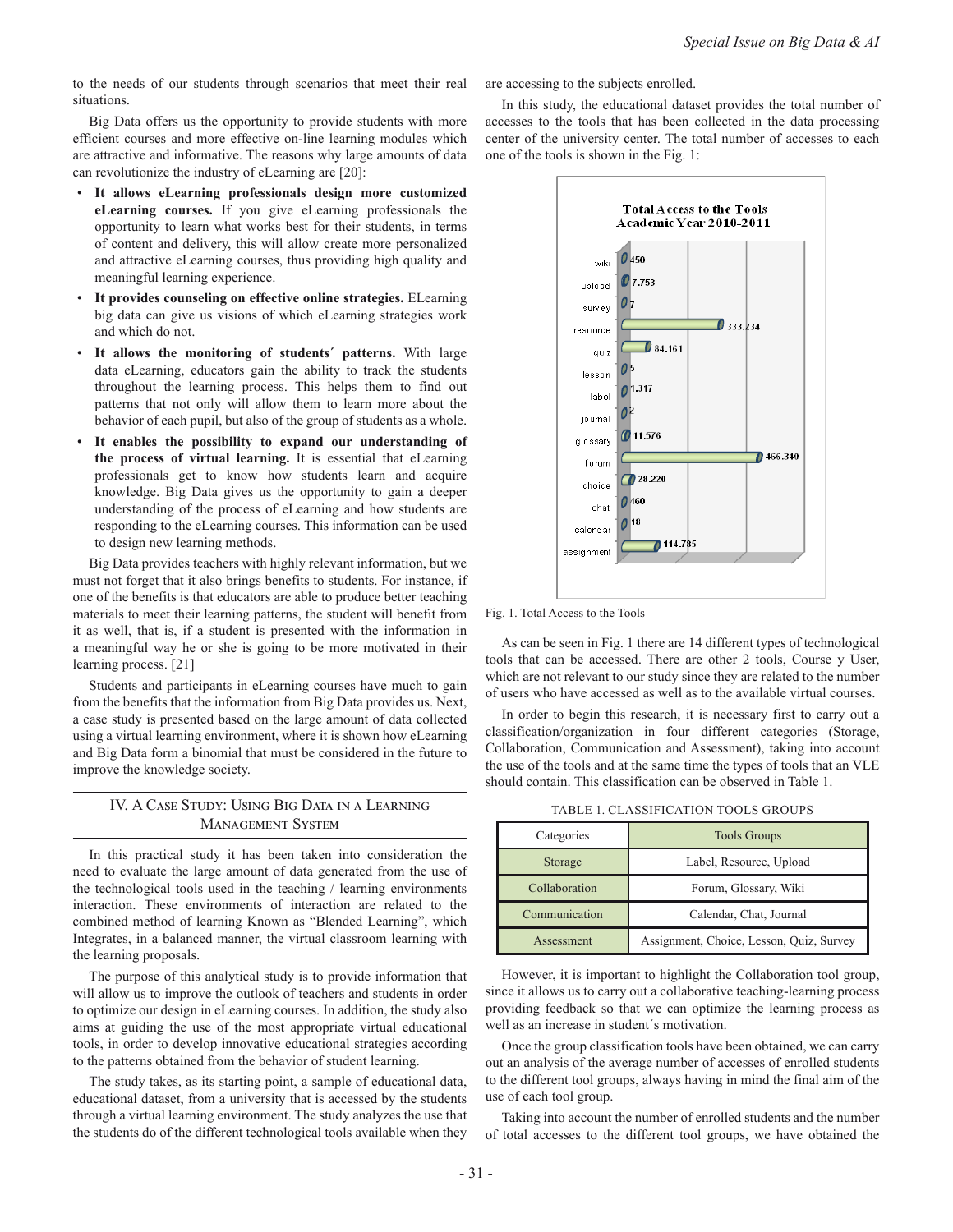to the needs of our students through scenarios that meet their real situations.

Big Data offers us the opportunity to provide students with more efficient courses and more effective on-line learning modules which are attractive and informative. The reasons why large amounts of data can revolutionize the industry of eLearning are [20]:

- **It allows eLearning professionals design more customized eLearning courses.** If you give eLearning professionals the opportunity to learn what works best for their students, in terms of content and delivery, this will allow create more personalized and attractive eLearning courses, thus providing high quality and meaningful learning experience.
- **It provides counseling on effective online strategies.** ELearning big data can give us visions of which eLearning strategies work and which do not.
- It allows the monitoring of students' patterns. With large data eLearning, educators gain the ability to track the students throughout the learning process. This helps them to find out patterns that not only will allow them to learn more about the behavior of each pupil, but also of the group of students as a whole.
- It enables the possibility to expand our understanding of **the process of virtual learning.** It is essential that eLearning professionals get to know how students learn and acquire knowledge. Big Data gives us the opportunity to gain a deeper understanding of the process of eLearning and how students are responding to the eLearning courses. This information can be used to design new learning methods.

Big Data provides teachers with highly relevant information, but we must not forget that it also brings benefits to students. For instance, if one of the benefits is that educators are able to produce better teaching materials to meet their learning patterns, the student will benefit from it as well, that is, if a student is presented with the information in a meaningful way he or she is going to be more motivated in their learning process. [21]

Students and participants in eLearning courses have much to gain from the benefits that the information from Big Data provides us. Next, a case study is presented based on the large amount of data collected using a virtual learning environment, where it is shown how eLearning and Big Data form a binomial that must be considered in the future to improve the knowledge society.

## IV. A Case Study: Using Big Data in a Learning Management System

In this practical study it has been taken into consideration the need to evaluate the large amount of data generated from the use of the technological tools used in the teaching / learning environments interaction. These environments of interaction are related to the combined method of learning Known as "Blended Learning", which Integrates, in a balanced manner, the virtual classroom learning with the learning proposals.

The purpose of this analytical study is to provide information that will allow us to improve the outlook of teachers and students in order to optimize our design in eLearning courses. In addition, the study also aims at guiding the use of the most appropriate virtual educational tools, in order to develop innovative educational strategies according to the patterns obtained from the behavior of student learning.

The study takes, as its starting point, a sample of educational data, educational dataset, from a university that is accessed by the students through a virtual learning environment. The study analyzes the use that the students do of the different technological tools available when they

are accessing to the subjects enrolled.

In this study, the educational dataset provides the total number of accesses to the tools that has been collected in the data processing center of the university center. The total number of accesses to each one of the tools is shown in the Fig. 1:



Fig. 1. Total Access to the Tools

As can be seen in Fig. 1 there are 14 different types of technological tools that can be accessed. There are other 2 tools, Course y User, which are not relevant to our study since they are related to the number of users who have accessed as well as to the available virtual courses.

In order to begin this research, it is necessary first to carry out a classification/organization in four different categories (Storage, Collaboration, Communication and Assessment), taking into account the use of the tools and at the same time the types of tools that an VLE should contain. This classification can be observed in Table 1.

Table 1. Classification Tools Groups

| Categories    | <b>Tools Groups</b>                      |  |  |
|---------------|------------------------------------------|--|--|
| Storage       | Label, Resource, Upload                  |  |  |
| Collaboration | Forum, Glossary, Wiki                    |  |  |
| Communication | Calendar, Chat, Journal                  |  |  |
| Assessment    | Assignment, Choice, Lesson, Quiz, Survey |  |  |

However, it is important to highlight the Collaboration tool group, since it allows us to carry out a collaborative teaching-learning process providing feedback so that we can optimize the learning process as well as an increase in student´s motivation.

Once the group classification tools have been obtained, we can carry out an analysis of the average number of accesses of enrolled students to the different tool groups, always having in mind the final aim of the use of each tool group.

Taking into account the number of enrolled students and the number of total accesses to the different tool groups, we have obtained the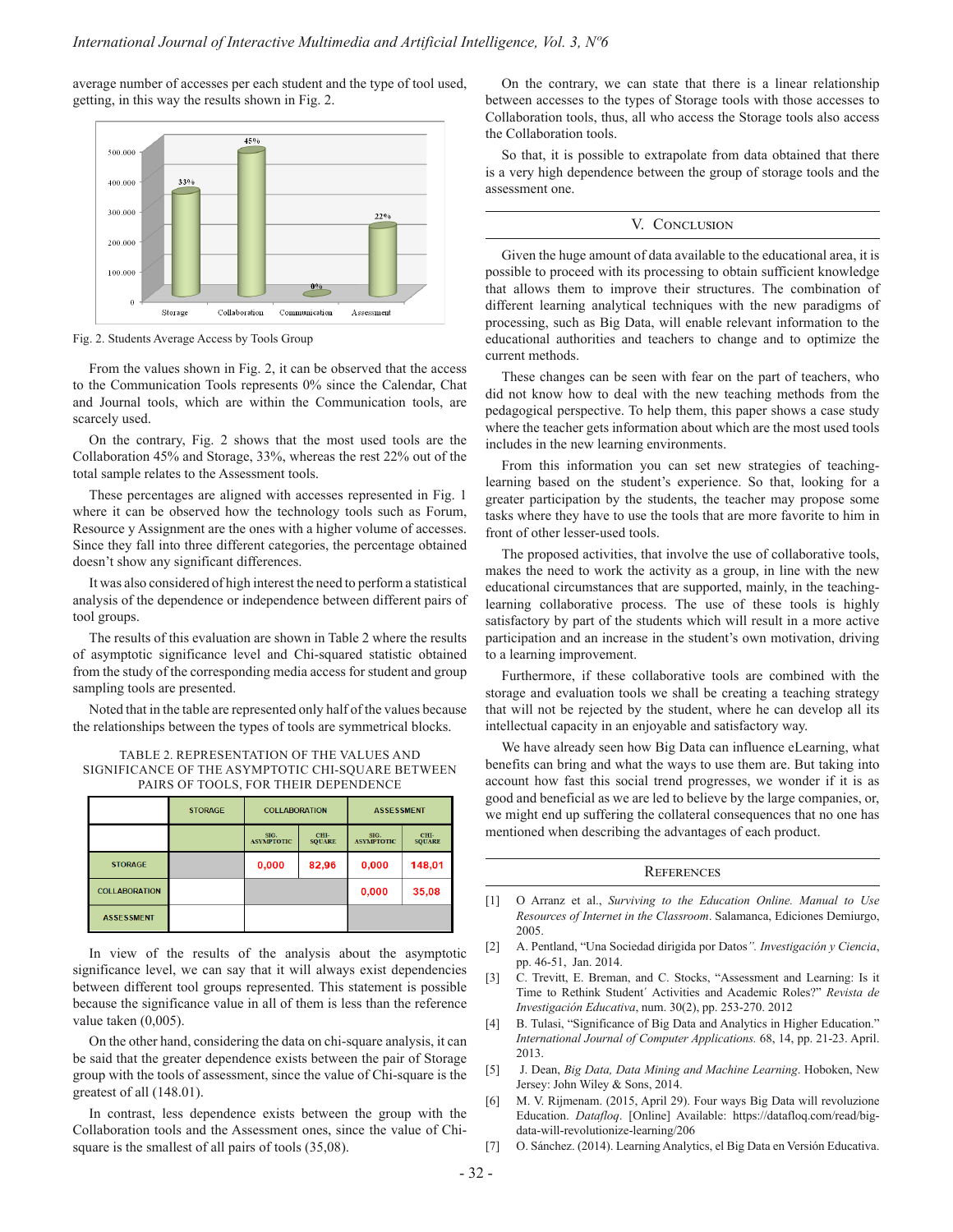average number of accesses per each student and the type of tool used, getting, in this way the results shown in Fig. 2.



Fig. 2. Students Average Access by Tools Group

From the values shown in Fig. 2, it can be observed that the access to the Communication Tools represents 0% since the Calendar, Chat and Journal tools, which are within the Communication tools, are scarcely used.

On the contrary, Fig. 2 shows that the most used tools are the Collaboration 45% and Storage, 33%, whereas the rest 22% out of the total sample relates to the Assessment tools.

These percentages are aligned with accesses represented in Fig. 1 where it can be observed how the technology tools such as Forum, Resource y Assignment are the ones with a higher volume of accesses. Since they fall into three different categories, the percentage obtained doesn't show any significant differences.

It was also considered of high interest the need to perform a statistical analysis of the dependence or independence between different pairs of tool groups.

The results of this evaluation are shown in Table 2 where the results of asymptotic significance level and Chi-squared statistic obtained from the study of the corresponding media access for student and group sampling tools are presented.

Noted that in the table are represented only half of the values because the relationships between the types of tools are symmetrical blocks.

| TABLE 2. REPRESENTATION OF THE VALUES AND         |  |
|---------------------------------------------------|--|
| SIGNIFICANCE OF THE ASYMPTOTIC CHI-SOUARE BETWEEN |  |
| PAIRS OF TOOLS, FOR THEIR DEPENDENCE              |  |

|                      | <b>STORAGE</b> | <b>COLLABORATION</b>      |                       | <b>ASSESSMENT</b>         |                       |
|----------------------|----------------|---------------------------|-----------------------|---------------------------|-----------------------|
|                      |                | SIG.<br><b>ASYMPTOTIC</b> | CHI-<br><b>SOUARE</b> | SIC.<br><b>ASYMPTOTIC</b> | CHI-<br><b>SOUARE</b> |
| <b>STORAGE</b>       |                | 0,000                     | 82,96                 | 0,000                     | 148,01                |
| <b>COLLABORATION</b> |                |                           |                       | 0,000                     | 35,08                 |
| <b>ASSESSMENT</b>    |                |                           |                       |                           |                       |

In view of the results of the analysis about the asymptotic significance level, we can say that it will always exist dependencies between different tool groups represented. This statement is possible because the significance value in all of them is less than the reference value taken (0,005).

On the other hand, considering the data on chi-square analysis, it can be said that the greater dependence exists between the pair of Storage group with the tools of assessment, since the value of Chi-square is the greatest of all (148.01).

In contrast, less dependence exists between the group with the Collaboration tools and the Assessment ones, since the value of Chisquare is the smallest of all pairs of tools (35,08).

On the contrary, we can state that there is a linear relationship between accesses to the types of Storage tools with those accesses to Collaboration tools, thus, all who access the Storage tools also access the Collaboration tools.

So that, it is possible to extrapolate from data obtained that there is a very high dependence between the group of storage tools and the assessment one.

#### V. Conclusion

Given the huge amount of data available to the educational area, it is possible to proceed with its processing to obtain sufficient knowledge that allows them to improve their structures. The combination of different learning analytical techniques with the new paradigms of processing, such as Big Data, will enable relevant information to the educational authorities and teachers to change and to optimize the current methods.

These changes can be seen with fear on the part of teachers, who did not know how to deal with the new teaching methods from the pedagogical perspective. To help them, this paper shows a case study where the teacher gets information about which are the most used tools includes in the new learning environments.

From this information you can set new strategies of teachinglearning based on the student's experience. So that, looking for a greater participation by the students, the teacher may propose some tasks where they have to use the tools that are more favorite to him in front of other lesser-used tools.

The proposed activities, that involve the use of collaborative tools, makes the need to work the activity as a group, in line with the new educational circumstances that are supported, mainly, in the teachinglearning collaborative process. The use of these tools is highly satisfactory by part of the students which will result in a more active participation and an increase in the student's own motivation, driving to a learning improvement.

Furthermore, if these collaborative tools are combined with the storage and evaluation tools we shall be creating a teaching strategy that will not be rejected by the student, where he can develop all its intellectual capacity in an enjoyable and satisfactory way.

We have already seen how Big Data can influence eLearning, what benefits can bring and what the ways to use them are. But taking into account how fast this social trend progresses, we wonder if it is as good and beneficial as we are led to believe by the large companies, or, we might end up suffering the collateral consequences that no one has mentioned when describing the advantages of each product.

## **REFERENCES**

- [1] O Arranz et al., *Surviving to the Education Online. Manual to Use Resources of Internet in the Classroom*. Salamanca, Ediciones Demiurgo, 2005.
- [2] A. Pentland, "Una Sociedad dirigida por Datos*". Investigación y Ciencia*, pp. 46-51, Jan. 2014.
- [3] C. Trevitt, E. Breman, and C. Stocks, "Assessment and Learning: Is it Time to Rethink Student´ Activities and Academic Roles?" *Revista de Investigación Educativa*, num. 30(2), pp. 253-270. 2012
- [4] B. Tulasi, "Significance of Big Data and Analytics in Higher Education." *International Journal of Computer Applications.* 68, 14, pp. 21-23. April. 2013.
- [5] J. Dean, *Big Data, Data Mining and Machine Learning*. Hoboken, New Jersey: John Wiley & Sons, 2014.
- [6] M. V. Rijmenam. (2015, April 29). Four ways Big Data will revoluzione Education. *Datafloq*. [Online] Available: https://datafloq.com/read/bigdata-will-revolutionize-learning/206
- [7] O. Sánchez. (2014). Learning Analytics, el Big Data en Versión Educativa.